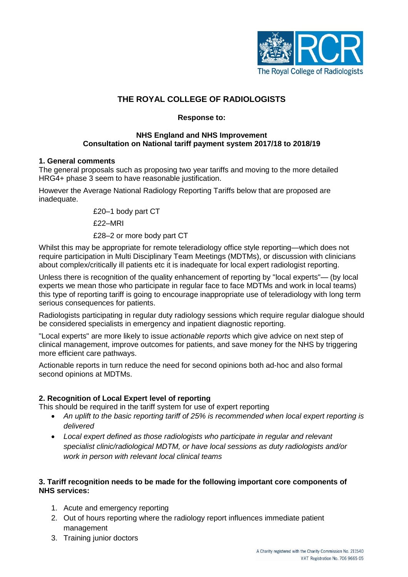

# **THE ROYAL COLLEGE OF RADIOLOGISTS**

### **Response to:**

#### **NHS England and NHS Improvement Consultation on National tariff payment system 2017/18 to 2018/19**

### **1. General comments**

The general proposals such as proposing two year tariffs and moving to the more detailed HRG4+ phase 3 seem to have reasonable justification.

However the Average National Radiology Reporting Tariffs below that are proposed are inadequate.

£20–1 body part CT

£22–MRI

£28–2 or more body part CT

Whilst this may be appropriate for remote teleradiology office style reporting—which does not require participation in Multi Disciplinary Team Meetings (MDTMs), or discussion with clinicians about complex/critically ill patients etc it is inadequate for local expert radiologist reporting.

Unless there is recognition of the quality enhancement of reporting by "local experts"— (by local experts we mean those who participate in regular face to face MDTMs and work in local teams) this type of reporting tariff is going to encourage inappropriate use of teleradiology with long term serious consequences for patients.

Radiologists participating in regular duty radiology sessions which require regular dialogue should be considered specialists in emergency and inpatient diagnostic reporting.

"Local experts" are more likely to issue *actionable reports* which give advice on next step of clinical management, improve outcomes for patients, and save money for the NHS by triggering more efficient care pathways.

Actionable reports in turn reduce the need for second opinions both ad-hoc and also formal second opinions at MDTMs.

## **2. Recognition of Local Expert level of reporting**

This should be required in the tariff system for use of expert reporting

- *An uplift to the basic reporting tariff of 25% is recommended when local expert reporting is delivered*
- *Local expert defined as those radiologists who participate in regular and relevant specialist clinic/radiological MDTM, or have local sessions as duty radiologists and/or work in person with relevant local clinical teams*

### **3. Tariff recognition needs to be made for the following important core components of NHS services:**

- 1. Acute and emergency reporting
- 2. Out of hours reporting where the radiology report influences immediate patient management
- 3. Training junior doctors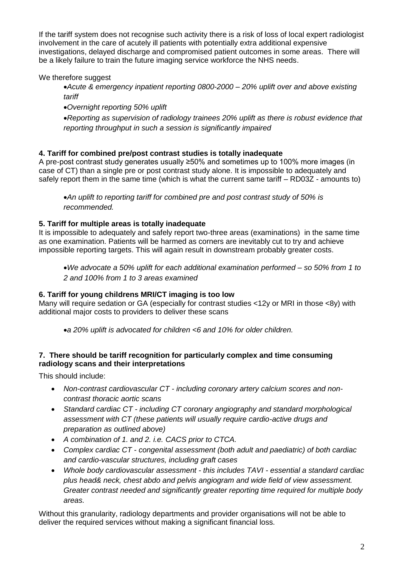If the tariff system does not recognise such activity there is a risk of loss of local expert radiologist involvement in the care of acutely ill patients with potentially extra additional expensive investigations, delayed discharge and compromised patient outcomes in some areas. There will be a likely failure to train the future imaging service workforce the NHS needs.

We therefore suggest

- *Acute & emergency inpatient reporting 0800-2000 – 20% uplift over and above existing tariff*
- *Overnight reporting 50% uplift*

*Reporting as supervision of radiology trainees 20% uplift as there is robust evidence that reporting throughput in such a session is significantly impaired*

### **4. Tariff for combined pre/post contrast studies is totally inadequate**

A pre-post contrast study generates usually ≥50% and sometimes up to 100% more images (in case of CT) than a single pre or post contrast study alone. It is impossible to adequately and safely report them in the same time (which is what the current same tariff – RD03Z - amounts to)

*An uplift to reporting tariff for combined pre and post contrast study of 50% is recommended.*

### **5. Tariff for multiple areas is totally inadequate**

It is impossible to adequately and safely report two-three areas (examinations) in the same time as one examination. Patients will be harmed as corners are inevitably cut to try and achieve impossible reporting targets. This will again result in downstream probably greater costs.

*We advocate a 50% uplift for each additional examination performed – so 50% from 1 to 2 and 100% from 1 to 3 areas examined* 

## **6. Tariff for young childrens MRI/CT imaging is too low**

Many will require sedation or GA (especially for contrast studies <12y or MRI in those <8y) with additional major costs to providers to deliver these scans

*a 20% uplift is advocated for children <6 and 10% for older children.*

### **7. There should be tariff recognition for particularly complex and time consuming radiology scans and their interpretations**

This should include:

- *Non-contrast cardiovascular CT - including coronary artery calcium scores and noncontrast thoracic aortic scans*
- *Standard cardiac CT - including CT coronary angiography and standard morphological assessment with CT (these patients will usually require cardio-active drugs and preparation as outlined above)*
- *A combination of 1. and 2. i.e. CACS prior to CTCA.*
- *Complex cardiac CT - congenital assessment (both adult and paediatric) of both cardiac and cardio-vascular structures, including graft cases*
- *Whole body cardiovascular assessment - this includes TAVI - essential a standard cardiac plus head& neck, chest abdo and pelvis angiogram and wide field of view assessment. Greater contrast needed and significantly greater reporting time required for multiple body areas.*

Without this granularity, radiology departments and provider organisations will not be able to deliver the required services without making a significant financial loss.